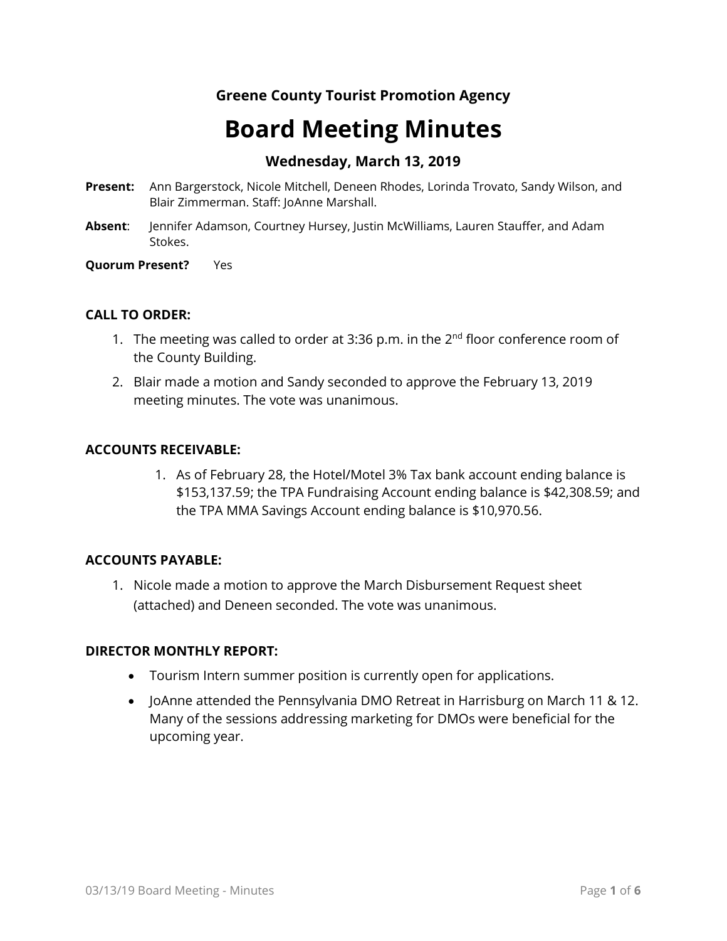# **Greene County Tourist Promotion Agency**

# **Board Meeting Minutes**

# **Wednesday, March 13, 2019**

- **Present:** Ann Bargerstock, Nicole Mitchell, Deneen Rhodes, Lorinda Trovato, Sandy Wilson, and Blair Zimmerman. Staff: JoAnne Marshall.
- **Absent**: Jennifer Adamson, Courtney Hursey, Justin McWilliams, Lauren Stauffer, and Adam Stokes.

#### **Quorum Present?** Yes

# **CALL TO ORDER:**

- 1. The meeting was called to order at 3:36 p.m. in the  $2<sup>nd</sup>$  floor conference room of the County Building.
- 2. Blair made a motion and Sandy seconded to approve the February 13, 2019 meeting minutes. The vote was unanimous.

# **ACCOUNTS RECEIVABLE:**

1. As of February 28, the Hotel/Motel 3% Tax bank account ending balance is \$153,137.59; the TPA Fundraising Account ending balance is \$42,308.59; and the TPA MMA Savings Account ending balance is \$10,970.56.

# **ACCOUNTS PAYABLE:**

1. Nicole made a motion to approve the March Disbursement Request sheet (attached) and Deneen seconded. The vote was unanimous.

# **DIRECTOR MONTHLY REPORT:**

- Tourism Intern summer position is currently open for applications.
- JoAnne attended the Pennsylvania DMO Retreat in Harrisburg on March 11 & 12. Many of the sessions addressing marketing for DMOs were beneficial for the upcoming year.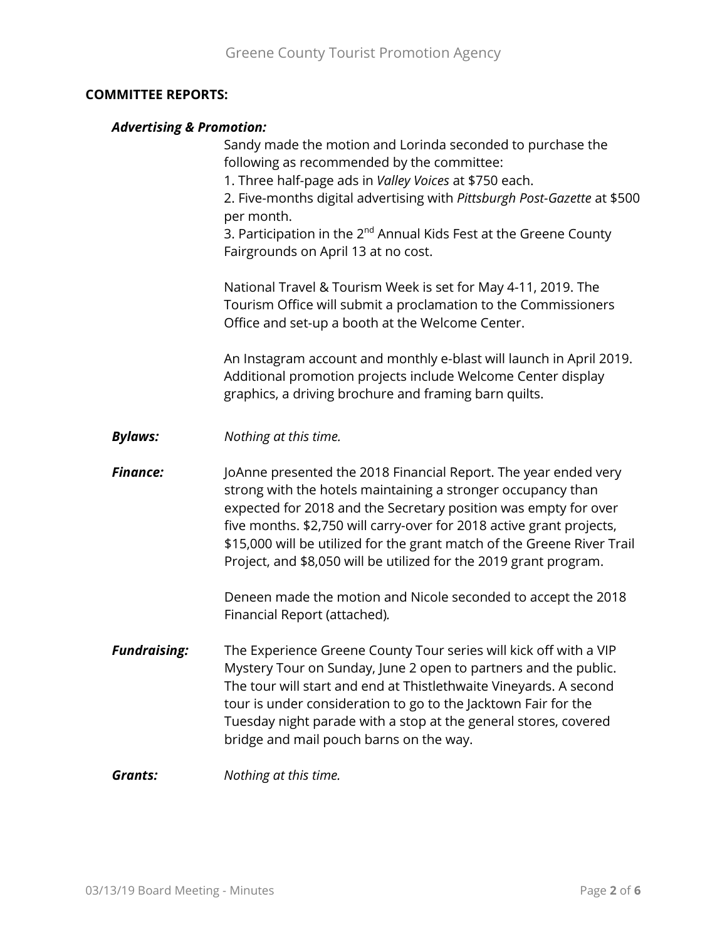#### **COMMITTEE REPORTS:**

#### *Advertising & Promotion:*

Sandy made the motion and Lorinda seconded to purchase the following as recommended by the committee:

1. Three half-page ads in *Valley Voices* at \$750 each.

2. Five-months digital advertising with *Pittsburgh Post-Gazette* at \$500 per month.

3. Participation in the  $2^{nd}$  Annual Kids Fest at the Greene County Fairgrounds on April 13 at no cost.

National Travel & Tourism Week is set for May 4-11, 2019. The Tourism Office will submit a proclamation to the Commissioners Office and set-up a booth at the Welcome Center.

An Instagram account and monthly e-blast will launch in April 2019. Additional promotion projects include Welcome Center display graphics, a driving brochure and framing barn quilts.

*Bylaws: Nothing at this time.*

**Finance:** JoAnne presented the 2018 Financial Report. The year ended very strong with the hotels maintaining a stronger occupancy than expected for 2018 and the Secretary position was empty for over five months. \$2,750 will carry-over for 2018 active grant projects, \$15,000 will be utilized for the grant match of the Greene River Trail Project, and \$8,050 will be utilized for the 2019 grant program.

> Deneen made the motion and Nicole seconded to accept the 2018 Financial Report (attached)*.*

- *Fundraising:* The Experience Greene County Tour series will kick off with a VIP Mystery Tour on Sunday, June 2 open to partners and the public. The tour will start and end at Thistlethwaite Vineyards. A second tour is under consideration to go to the Jacktown Fair for the Tuesday night parade with a stop at the general stores, covered bridge and mail pouch barns on the way.
- *Grants: Nothing at this time.*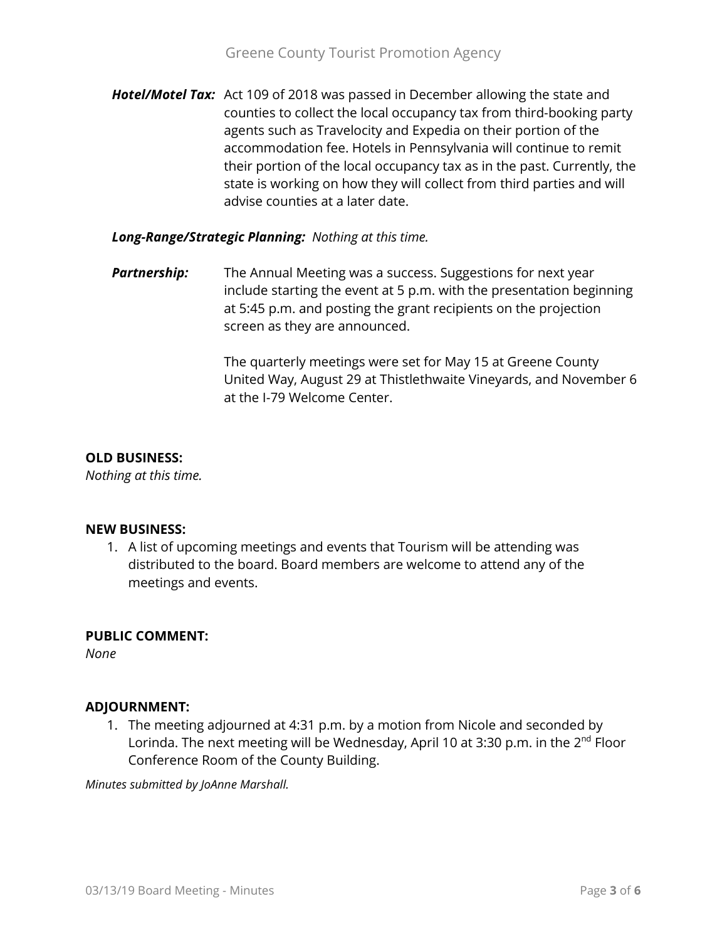*Hotel/Motel Tax:* Act 109 of 2018 was passed in December allowing the state and counties to collect the local occupancy tax from third-booking party agents such as Travelocity and Expedia on their portion of the accommodation fee. Hotels in Pennsylvania will continue to remit their portion of the local occupancy tax as in the past. Currently, the state is working on how they will collect from third parties and will advise counties at a later date.

# *Long-Range/Strategic Planning: Nothing at this time.*

**Partnership:** The Annual Meeting was a success. Suggestions for next year include starting the event at 5 p.m. with the presentation beginning at 5:45 p.m. and posting the grant recipients on the projection screen as they are announced.

> The quarterly meetings were set for May 15 at Greene County United Way, August 29 at Thistlethwaite Vineyards, and November 6 at the I-79 Welcome Center.

# **OLD BUSINESS:**

*Nothing at this time.*

# **NEW BUSINESS:**

1. A list of upcoming meetings and events that Tourism will be attending was distributed to the board. Board members are welcome to attend any of the meetings and events.

# **PUBLIC COMMENT:**

*None*

# **ADJOURNMENT:**

1. The meeting adjourned at 4:31 p.m. by a motion from Nicole and seconded by Lorinda. The next meeting will be Wednesday, April 10 at 3:30 p.m. in the  $2^{nd}$  Floor Conference Room of the County Building.

*Minutes submitted by JoAnne Marshall.*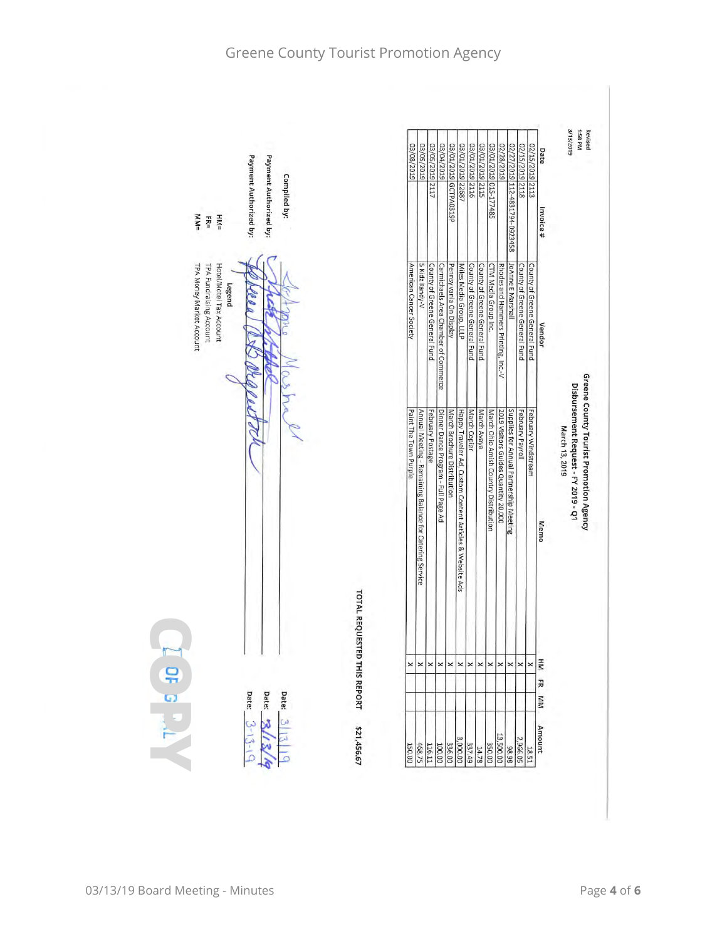| Payment Authorized by:<br>Payment Authorized by:<br>Compiled by:<br>$M_{\text{M}} =$<br>$H M =$<br>$FE =$ |                             | 03/08/2019              | 03/05/2019 2117<br>03/05/2019                                               | 03/04/2019                           | 03/01/2019 GCTPA0319P       | 03/01/2019 22687                                         | 03/01/2019 2116               | 03/01/2019 2115               | 03/01/2019 015-177485                 | 02/28/2019                           | 02/27/2019 112-4831794-0923458          | 02/15/2019 2118               | 02/15/2019 2113               | Date<br>Invoice # | 3/13/2019      |                                     | Revised<br>1:58 PM                     |
|-----------------------------------------------------------------------------------------------------------|-----------------------------|-------------------------|-----------------------------------------------------------------------------|--------------------------------------|-----------------------------|----------------------------------------------------------|-------------------------------|-------------------------------|---------------------------------------|--------------------------------------|-----------------------------------------|-------------------------------|-------------------------------|-------------------|----------------|-------------------------------------|----------------------------------------|
| TPA Money Market Account<br>TPA Fundraising Account<br>Hotel/Motel Tax Account<br>Legend                  |                             | American Cancer Society | 5 Kidz Kandy-V<br>County of Greene General Fund                             | Carmichaels Area Chamber of Commerce | Pennsylvania On Display     | Miles Media Group, LLLP                                  | County of Greene General Fund | County of Greene General Fund | CTM Media Group Inc.                  | Rhodes and Hammers Printing, Inc.-V  | <b>JoAnne E Marshall</b>                | County of Greene General Fund | County of Greene General Fund | <b>Vendor</b>     |                |                                     |                                        |
|                                                                                                           |                             | Paint The Town Purple   | February Postage<br>Annual Meeting - Remaining Balance for Catering Service | Dinner Dance Program - Full Page Ad  | March Brochure Distribution | Happy Traveler Ad, Custom Content Articles & Website Ads | March Copier                  | March Avaya                   | March Ohio Amish Country Distribution | 2019 Visitors Guides Quantity 20,000 | Supplies for Annual Partnership Meeting | February Payroll              | February Windstream           | Memo              | March 13, 2019 | Disbursement Request - FY 2019 - Q1 | Greene County Tourist Promotion Agency |
|                                                                                                           | TOTAL REQUESTED THIS REPORT | $\times$ $\times$       | $\times$                                                                    |                                      | $\times$ $\times$           |                                                          | $\pmb{\times}$                | $\times$ $\times$             |                                       | $\pmb{\times}$                       | $\times$ $\times$                       |                               | $\mathsf{\times}$             | HM<br>곬           |                |                                     |                                        |
| Date:<br>Date:<br>Date:<br>$3-13-$                                                                        | \$21,456.67<br>150.00       | 468.75                  | 116.11                                                                      |                                      | 336.00                      | 337.49                                                   |                               | 350.00                        |                                       | 13,500.00                            | 2,966.05                                |                               | 18.51                         | NN<br>Amount      |                |                                     |                                        |



# Greene County Tourist Promotion Agency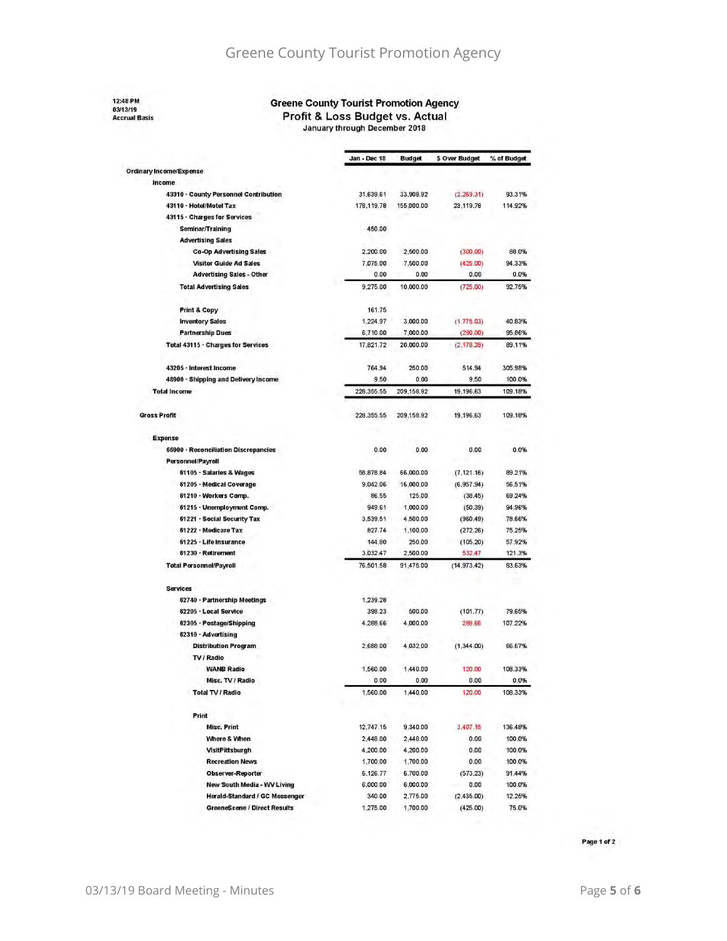# Greene County Tourist Promotion Agency

#### 12:48 PM 03/13/19<br>Accrual Basis

#### **Greene County Tourist Promotion Agency**

Profit & Loss Budget vs. Actual

January through December 2018

|                                       | Jan - Dec 18 | <b>Budget</b> | \$ Over Budget | % of Budget |
|---------------------------------------|--------------|---------------|----------------|-------------|
| Ordinary Income/Expense               |              |               |                |             |
| Income                                |              |               |                |             |
| 43310 · County Personnel Contribution | 31,639.61    | 33,908.92     | (2.269.31)     | 93.31%      |
| 43110 · Hotel/Motel Tax               | 178,119.78   | 155,000.00    | 23,119.78      | 114.92%     |
| 43115 · Charges for Services          |              |               |                |             |
| Seminar/Training                      | 450.00       |               |                |             |
| <b>Advertising Sales</b>              |              |               |                |             |
| <b>Co-Op Advertising Sales</b>        | 2,200.00     | 2,500.00      | (300.00)       | 88.0%       |
| <b>Visitor Guide Ad Sales</b>         | 7,075.00     | 7,500.00      | (425.00)       | 94.33%      |
| <b>Advertising Sales - Other</b>      | 0.00         | 0.00          | 0.00           | 0.0%        |
| <b>Total Advertising Sales</b>        | 9,275.00     | 10,000.00     | (725.00)       | 92.75%      |
| Print & Copy                          | 161.75       |               |                |             |
| <b>Inventory Sales</b>                | 1.224.97     | 3,000.00      | (1.775.03)     | 40.83%      |
| <b>Partnership Dues</b>               | 6,710.00     | 7,000.00      | (290.00)       | 95.86%      |
| Total 43115 · Charges for Services    | 17,821.72    | 20,000.00     | (2.178.28)     | 89.11%      |
| 43205 · Interest Income               | 764.94       | 250.00        | 514.94         | 305.98%     |
| 48900 - Shipping and Delivery Income  | 9.50         | 0.00          | 9.50           | 100.0%      |
| <b>Total Income</b>                   | 228,355.55   | 209,158.92    | 19,196.63      | 109.18%     |
| <b>Gross Profit</b>                   | 228,355.55   | 209,158.92    | 19,196.63      | 109.18%     |
| Expense                               |              |               |                |             |
| 66900 · Reconciliation Discrepancies  | 0.00         | 0.00          | 0.00           | 0.0%        |
| Personnel/Payroll                     |              |               |                |             |
| 61105 · Salaries & Wages              | 58,878,84    | 66,000.00     | (7, 121.16)    | 89.21%      |
| 61205 - Medical Coverage              | 9.042.06     | 16,000.00     | (6.957.94)     | 56.51%      |
| 61210 · Workers Comp.                 | 86.55        | 125.00        | (38.45)        | 69.24%      |
| 61215 · Unemployment Comp.            | 949.61       | 1,000.00      | (50.39)        | 94.96%      |
| 61221 · Social Security Tax           | 3,539.51     | 4,500.00      | (960.49)       | 78.66%      |
| 61222 · Medicare Tax                  | 827.74       | 1,100.00      | (272.26)       | 75.25%      |
| 61225 · Life Insurance                | 144.80       | 250.00        | (105.20)       | 57.92%      |
| 61230 · Retirement                    | 3,032.47     | 2,500.00      | 532,47         | 121.3%      |
| <b>Total Personnel/Payroll</b>        | 76,501.58    | 91,475.00     | (14.973.42)    | 83.63%      |
| <b>Services</b>                       |              |               |                |             |
| 62740 · Partnership Meetings          | 1,239.28     |               |                |             |
| 62205 · Local Service                 | 398.23       | 500.00        | (101.77)       | 79.65%      |
| 62305 · Postage/Shipping              | 4.288.66     | 4,000.00      | 288,66         | 107.22%     |
| 62310 · Advertising                   |              |               |                |             |
| <b>Distribution Program</b>           | 2,688.00     | 4,032.00      | (1,344.00)     | 66.67%      |
| TV / Radio                            |              |               |                |             |
| <b>WANB Radio</b>                     | 1,560.00     | 1,440.00      | 120.00         | 108.33%     |
| Misc. TV / Radio                      | 0.00         | 0.00          | 0.00           | 0.0%        |
| Total TV / Radio                      | 1,560.00     | 1,440.00      | 120,00         | 108.33%     |
| Print                                 |              |               |                |             |
| Misc. Print                           | 12,747.15    | 9,340.00      | 3,407.15       | 136.48%     |
| Where & When                          | 2,448.00     | 2,448.00      | 0.00           | 100.0%      |
| VisitPittsburgh                       | 4,200.00     | 4,200.00      | 0.00           | 100.0%      |
| <b>Recreation News</b>                | 1,700.00     | 1,700.00      | 0.00           | 100.0%      |
| <b>Observer-Reporter</b>              | 6.126.77     | 6,700.00      | (573.23)       | 91.44%      |
| New South Media - WV Living           | 6,000.00     | 6,000.00      | 0.00           | 100.0%      |
| Herald-Standard / GC Messenger        | 340.00       | 2,775.00      | (2,435.00)     | 12.25%      |
| <b>GreeneScene / Direct Results</b>   | 1,275.00     | 1,700.00      | (425.00)       | 75.0%       |

Page 1 of 2